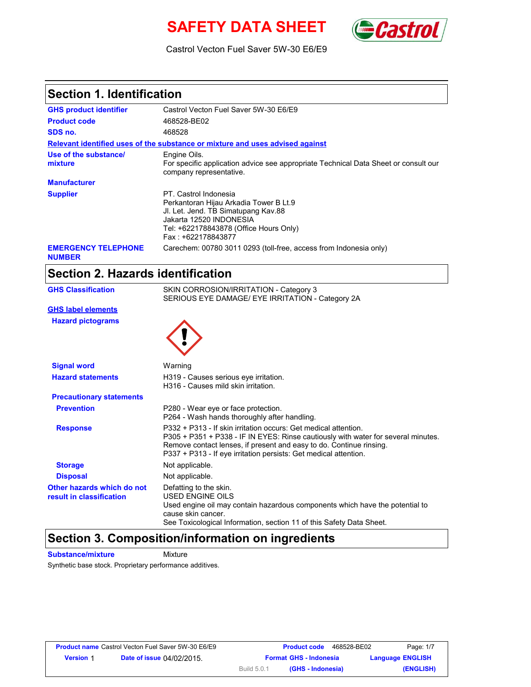# **SAFETY DATA SHEET** *Castrol*



Castrol Vecton Fuel Saver 5W-30 E6/E9

### **Section 1. Identification**

| <b>GHS product identifier</b>               | Castrol Vecton Fuel Saver 5W-30 E6/E9                                                                                                                                                             |
|---------------------------------------------|---------------------------------------------------------------------------------------------------------------------------------------------------------------------------------------------------|
| <b>Product code</b>                         | 468528-BE02                                                                                                                                                                                       |
| SDS no.                                     | 468528                                                                                                                                                                                            |
|                                             | Relevant identified uses of the substance or mixture and uses advised against                                                                                                                     |
| Use of the substance/<br>mixture            | Engine Oils.<br>For specific application advice see appropriate Technical Data Sheet or consult our<br>company representative.                                                                    |
| <b>Manufacturer</b>                         |                                                                                                                                                                                                   |
| <b>Supplier</b>                             | PT. Castrol Indonesia<br>Perkantoran Hijau Arkadia Tower B Lt.9<br>JI. Let. Jend. TB Simatupang Kav.88<br>Jakarta 12520 INDONESIA<br>Tel: +622178843878 (Office Hours Only)<br>Fax: +622178843877 |
| <b>EMERGENCY TELEPHONE</b><br><b>NUMBER</b> | Carechem: 00780 3011 0293 (toll-free, access from Indonesia only)                                                                                                                                 |

## **Section 2. Hazards identification**

| <b>GHS Classification</b>                              | SKIN CORROSION/IRRITATION - Category 3<br>SERIOUS EYE DAMAGE/ EYE IRRITATION - Category 2A                                                                                                                                                                                                      |  |  |
|--------------------------------------------------------|-------------------------------------------------------------------------------------------------------------------------------------------------------------------------------------------------------------------------------------------------------------------------------------------------|--|--|
| <b>GHS label elements</b>                              |                                                                                                                                                                                                                                                                                                 |  |  |
| <b>Hazard pictograms</b>                               |                                                                                                                                                                                                                                                                                                 |  |  |
| <b>Signal word</b>                                     | Warning                                                                                                                                                                                                                                                                                         |  |  |
| <b>Hazard statements</b>                               | H319 - Causes serious eye irritation.<br>H316 - Causes mild skin irritation.                                                                                                                                                                                                                    |  |  |
| <b>Precautionary statements</b>                        |                                                                                                                                                                                                                                                                                                 |  |  |
| <b>Prevention</b>                                      | P280 - Wear eye or face protection.<br>P264 - Wash hands thoroughly after handling.                                                                                                                                                                                                             |  |  |
| <b>Response</b>                                        | P332 + P313 - If skin irritation occurs: Get medical attention.<br>P305 + P351 + P338 - IF IN EYES: Rinse cautiously with water for several minutes.<br>Remove contact lenses, if present and easy to do. Continue rinsing.<br>P337 + P313 - If eye irritation persists: Get medical attention. |  |  |
| <b>Storage</b>                                         | Not applicable.                                                                                                                                                                                                                                                                                 |  |  |
| <b>Disposal</b>                                        | Not applicable.                                                                                                                                                                                                                                                                                 |  |  |
| Other hazards which do not<br>result in classification | Defatting to the skin.<br><b>USED ENGINE OILS</b><br>Used engine oil may contain hazardous components which have the potential to<br>cause skin cancer.<br>See Toxicological Information, section 11 of this Safety Data Sheet.                                                                 |  |  |

### **Section 3. Composition/information on ingredients**

**Substance/mixture Mixture** 

Synthetic base stock. Proprietary performance additives.

|                  | <b>Product name</b> Castrol Vecton Fuel Saver 5W-30 E6/E9 |             | <b>Product code</b><br>468528-BE02 | Page: 1/7               |
|------------------|-----------------------------------------------------------|-------------|------------------------------------|-------------------------|
| <b>Version 1</b> | <b>Date of issue 04/02/2015.</b>                          |             | <b>Format GHS - Indonesia</b>      | <b>Language ENGLISH</b> |
|                  |                                                           | Build 5.0.1 | (GHS - Indonesia)                  | (ENGLISH)               |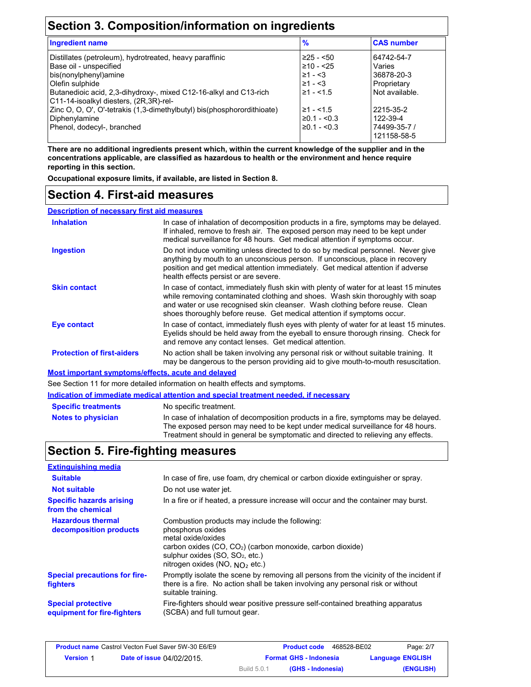## **Section 3. Composition/information on ingredients**

| <b>Ingredient name</b>                                                                                                                                                                                                                        | $\frac{9}{6}$                                                                     | <b>CAS number</b>                                                   |
|-----------------------------------------------------------------------------------------------------------------------------------------------------------------------------------------------------------------------------------------------|-----------------------------------------------------------------------------------|---------------------------------------------------------------------|
| Distillates (petroleum), hydrotreated, heavy paraffinic<br>Base oil - unspecified<br>bis(nonylphenyl)amine<br>Olefin sulphide<br>Butanedioic acid, 2,3-dihydroxy-, mixed C12-16-alkyl and C13-rich<br>C11-14-isoalkyl diesters, (2R, 3R)-rel- | $\geq$ 25 - <50<br>$\geq 10 - 25$<br>$\geq 1 - 3$<br>$\geq 1 - 3$<br>$\geq 1 - 5$ | 64742-54-7<br>Varies<br>36878-20-3<br>Proprietary<br>Not available. |
| Zinc O, O, O', O'-tetrakis (1,3-dimethylbutyl) bis(phosphorordithioate)<br>Diphenylamine<br>Phenol, dodecyl-, branched                                                                                                                        | $\geq$ 1 - <1.5<br>$\geq 0.1 - 0.3$<br>$\geq 0.1 - 0.3$                           | 2215-35-2<br>122-39-4<br>74499-35-7 /<br>121158-58-5                |

**There are no additional ingredients present which, within the current knowledge of the supplier and in the concentrations applicable, are classified as hazardous to health or the environment and hence require reporting in this section.**

**Occupational exposure limits, if available, are listed in Section 8.**

#### **Section 4. First-aid measures**

**Description of necessary first aid measures**

| <b>Inhalation</b>                                  | In case of inhalation of decomposition products in a fire, symptoms may be delayed.<br>If inhaled, remove to fresh air. The exposed person may need to be kept under<br>medical surveillance for 48 hours. Get medical attention if symptoms occur.                                                                                  |
|----------------------------------------------------|--------------------------------------------------------------------------------------------------------------------------------------------------------------------------------------------------------------------------------------------------------------------------------------------------------------------------------------|
| <b>Ingestion</b>                                   | Do not induce vomiting unless directed to do so by medical personnel. Never give<br>anything by mouth to an unconscious person. If unconscious, place in recovery<br>position and get medical attention immediately. Get medical attention if adverse<br>health effects persist or are severe.                                       |
| <b>Skin contact</b>                                | In case of contact, immediately flush skin with plenty of water for at least 15 minutes<br>while removing contaminated clothing and shoes. Wash skin thoroughly with soap<br>and water or use recognised skin cleanser. Wash clothing before reuse. Clean<br>shoes thoroughly before reuse. Get medical attention if symptoms occur. |
| Eye contact                                        | In case of contact, immediately flush eyes with plenty of water for at least 15 minutes.<br>Eyelids should be held away from the eyeball to ensure thorough rinsing. Check for<br>and remove any contact lenses. Get medical attention.                                                                                              |
| <b>Protection of first-aiders</b>                  | No action shall be taken involving any personal risk or without suitable training. It<br>may be dangerous to the person providing aid to give mouth-to-mouth resuscitation.                                                                                                                                                          |
| Most important symptoms/effects, acute and delayed |                                                                                                                                                                                                                                                                                                                                      |
|                                                    | See Section 11 for more detailed information on health effects and symptoms.                                                                                                                                                                                                                                                         |
|                                                    | <u>Indication of immediate medical attention and special treatment needed, if necessary</u>                                                                                                                                                                                                                                          |
|                                                    |                                                                                                                                                                                                                                                                                                                                      |

| <b>Specific treatments</b> | No specific treatment.                                                                                                                                                                                                                                      |
|----------------------------|-------------------------------------------------------------------------------------------------------------------------------------------------------------------------------------------------------------------------------------------------------------|
| <b>Notes to physician</b>  | In case of inhalation of decomposition products in a fire, symptoms may be delayed.<br>The exposed person may need to be kept under medical surveillance for 48 hours.<br>Treatment should in general be symptomatic and directed to relieving any effects. |

### **Section 5. Fire-fighting measures**

| <b>Extinguishing media</b>                               |                                                                                                                                                                                                                                                        |
|----------------------------------------------------------|--------------------------------------------------------------------------------------------------------------------------------------------------------------------------------------------------------------------------------------------------------|
| <b>Suitable</b>                                          | In case of fire, use foam, dry chemical or carbon dioxide extinguisher or spray.                                                                                                                                                                       |
| <b>Not suitable</b>                                      | Do not use water jet.                                                                                                                                                                                                                                  |
| <b>Specific hazards arising</b><br>from the chemical     | In a fire or if heated, a pressure increase will occur and the container may burst.                                                                                                                                                                    |
| <b>Hazardous thermal</b><br>decomposition products       | Combustion products may include the following:<br>phosphorus oxides<br>metal oxide/oxides<br>carbon oxides (CO, CO <sub>2</sub> ) (carbon monoxide, carbon dioxide)<br>sulphur oxides (SO, SO <sub>2</sub> , etc.)<br>nitrogen oxides (NO, $NO2$ etc.) |
| <b>Special precautions for fire-</b><br>fighters         | Promptly isolate the scene by removing all persons from the vicinity of the incident if<br>there is a fire. No action shall be taken involving any personal risk or without<br>suitable training.                                                      |
| <b>Special protective</b><br>equipment for fire-fighters | Fire-fighters should wear positive pressure self-contained breathing apparatus<br>(SCBA) and full turnout gear.                                                                                                                                        |

| <b>Product name</b> Castrol Vecton Fuel Saver 5W-30 E6/E9 |                                  |                    | <b>Product code</b><br>468528-BE02 | Page: 2/7               |
|-----------------------------------------------------------|----------------------------------|--------------------|------------------------------------|-------------------------|
| <b>Version 1</b>                                          | <b>Date of issue 04/02/2015.</b> |                    | <b>Format GHS - Indonesia</b>      | <b>Language ENGLISH</b> |
|                                                           |                                  | <b>Build 5.0.1</b> | (GHS - Indonesia)                  | (ENGLISH)               |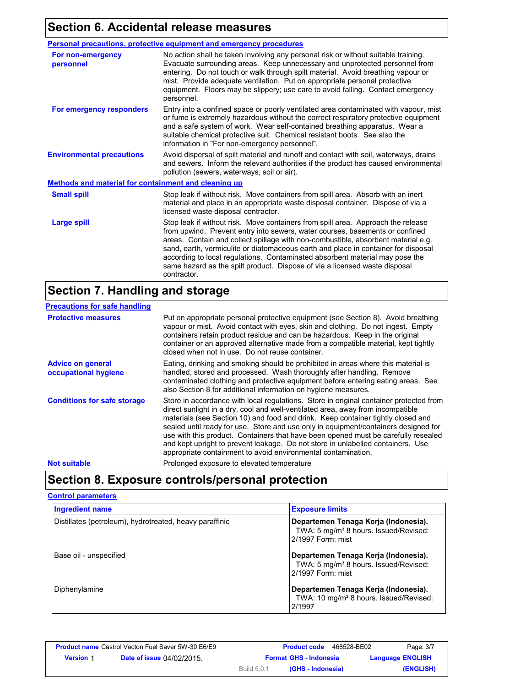## **Section 6. Accidental release measures**

|                                                      | <b>Personal precautions, protective equipment and emergency procedures</b>                                                                                                                                                                                                                                                                                                                                                                                                                                               |  |
|------------------------------------------------------|--------------------------------------------------------------------------------------------------------------------------------------------------------------------------------------------------------------------------------------------------------------------------------------------------------------------------------------------------------------------------------------------------------------------------------------------------------------------------------------------------------------------------|--|
| For non-emergency<br>personnel                       | No action shall be taken involving any personal risk or without suitable training.<br>Evacuate surrounding areas. Keep unnecessary and unprotected personnel from<br>entering. Do not touch or walk through spilt material. Avoid breathing vapour or<br>mist. Provide adequate ventilation. Put on appropriate personal protective<br>equipment. Floors may be slippery; use care to avoid falling. Contact emergency<br>personnel.                                                                                     |  |
| For emergency responders                             | Entry into a confined space or poorly ventilated area contaminated with vapour, mist<br>or fume is extremely hazardous without the correct respiratory protective equipment<br>and a safe system of work. Wear self-contained breathing apparatus. Wear a<br>suitable chemical protective suit. Chemical resistant boots. See also the<br>information in "For non-emergency personnel".                                                                                                                                  |  |
| <b>Environmental precautions</b>                     | Avoid dispersal of spilt material and runoff and contact with soil, waterways, drains<br>and sewers. Inform the relevant authorities if the product has caused environmental<br>pollution (sewers, waterways, soil or air).                                                                                                                                                                                                                                                                                              |  |
| Methods and material for containment and cleaning up |                                                                                                                                                                                                                                                                                                                                                                                                                                                                                                                          |  |
| <b>Small spill</b>                                   | Stop leak if without risk. Move containers from spill area. Absorb with an inert<br>material and place in an appropriate waste disposal container. Dispose of via a<br>licensed waste disposal contractor.                                                                                                                                                                                                                                                                                                               |  |
| <b>Large spill</b>                                   | Stop leak if without risk. Move containers from spill area. Approach the release<br>from upwind. Prevent entry into sewers, water courses, basements or confined<br>areas. Contain and collect spillage with non-combustible, absorbent material e.g.<br>sand, earth, vermiculite or diatomaceous earth and place in container for disposal<br>according to local regulations. Contaminated absorbent material may pose the<br>same hazard as the spilt product. Dispose of via a licensed waste disposal<br>contractor. |  |

## **Section 7. Handling and storage**

| <b>Precautions for safe handling</b>             |                                                                                                                                                                                                                                                                                                                                                                                                                                                                                                                                                                                                |
|--------------------------------------------------|------------------------------------------------------------------------------------------------------------------------------------------------------------------------------------------------------------------------------------------------------------------------------------------------------------------------------------------------------------------------------------------------------------------------------------------------------------------------------------------------------------------------------------------------------------------------------------------------|
| <b>Protective measures</b>                       | Put on appropriate personal protective equipment (see Section 8). Avoid breathing<br>vapour or mist. Avoid contact with eyes, skin and clothing. Do not ingest. Empty<br>containers retain product residue and can be hazardous. Keep in the original<br>container or an approved alternative made from a compatible material, kept tightly<br>closed when not in use. Do not reuse container.                                                                                                                                                                                                 |
| <b>Advice on general</b><br>occupational hygiene | Eating, drinking and smoking should be prohibited in areas where this material is<br>handled, stored and processed. Wash thoroughly after handling. Remove<br>contaminated clothing and protective equipment before entering eating areas. See<br>also Section 8 for additional information on hygiene measures.                                                                                                                                                                                                                                                                               |
| <b>Conditions for safe storage</b>               | Store in accordance with local regulations. Store in original container protected from<br>direct sunlight in a dry, cool and well-ventilated area, away from incompatible<br>materials (see Section 10) and food and drink. Keep container tightly closed and<br>sealed until ready for use. Store and use only in equipment/containers designed for<br>use with this product. Containers that have been opened must be carefully resealed<br>and kept upright to prevent leakage. Do not store in unlabelled containers. Use<br>appropriate containment to avoid environmental contamination. |
| <b>Not suitable</b>                              | Prolonged exposure to elevated temperature                                                                                                                                                                                                                                                                                                                                                                                                                                                                                                                                                     |

## **Section 8. Exposure controls/personal protection**

#### **Control parameters**

| <b>Ingredient name</b>                                  | <b>Exposure limits</b>                                                                                         |
|---------------------------------------------------------|----------------------------------------------------------------------------------------------------------------|
| Distillates (petroleum), hydrotreated, heavy paraffinic | Departemen Tenaga Kerja (Indonesia).<br>TWA: 5 mg/m <sup>3</sup> 8 hours. Issued/Revised:<br>2/1997 Form: mist |
| Base oil - unspecified                                  | Departemen Tenaga Kerja (Indonesia).<br>TWA: 5 mg/m <sup>3</sup> 8 hours. Issued/Revised:<br>2/1997 Form: mist |
| Diphenylamine                                           | Departemen Tenaga Kerja (Indonesia).<br>TWA: 10 mg/m <sup>3</sup> 8 hours. Issued/Revised:<br>2/1997           |

| <b>Product name</b> Castrol Vecton Fuel Saver 5W-30 E6/E9 |                                  |             | <b>Product code</b><br>468528-BE02 | Page: 3/7               |
|-----------------------------------------------------------|----------------------------------|-------------|------------------------------------|-------------------------|
| <b>Version 1</b>                                          | <b>Date of issue 04/02/2015.</b> |             | <b>Format GHS - Indonesia</b>      | <b>Language ENGLISH</b> |
|                                                           |                                  | Build 5.0.1 | (GHS - Indonesia)                  | (ENGLISH)               |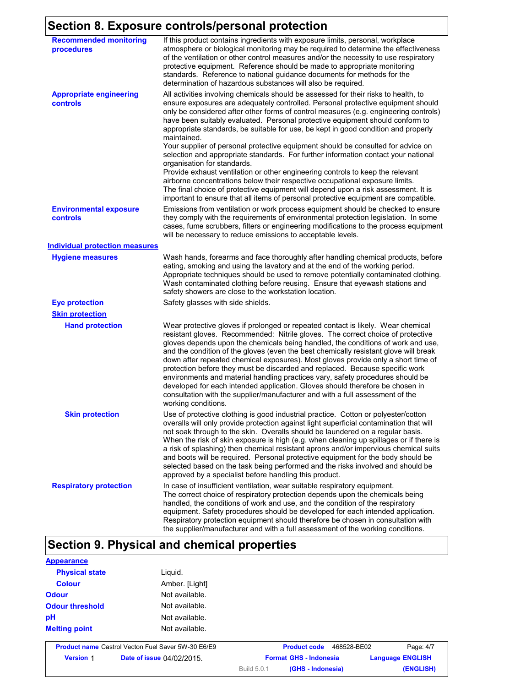## **Section 8. Exposure controls/personal protection**

| <b>Recommended monitoring</b><br>procedures | If this product contains ingredients with exposure limits, personal, workplace<br>atmosphere or biological monitoring may be required to determine the effectiveness<br>of the ventilation or other control measures and/or the necessity to use respiratory<br>protective equipment. Reference should be made to appropriate monitoring<br>standards. Reference to national guidance documents for methods for the<br>determination of hazardous substances will also be required.                                                                                                                                                                                                                                                                                                             |
|---------------------------------------------|-------------------------------------------------------------------------------------------------------------------------------------------------------------------------------------------------------------------------------------------------------------------------------------------------------------------------------------------------------------------------------------------------------------------------------------------------------------------------------------------------------------------------------------------------------------------------------------------------------------------------------------------------------------------------------------------------------------------------------------------------------------------------------------------------|
| <b>Appropriate engineering</b><br>controls  | All activities involving chemicals should be assessed for their risks to health, to<br>ensure exposures are adequately controlled. Personal protective equipment should<br>only be considered after other forms of control measures (e.g. engineering controls)<br>have been suitably evaluated. Personal protective equipment should conform to<br>appropriate standards, be suitable for use, be kept in good condition and properly<br>maintained.<br>Your supplier of personal protective equipment should be consulted for advice on<br>selection and appropriate standards. For further information contact your national                                                                                                                                                                 |
|                                             | organisation for standards.<br>Provide exhaust ventilation or other engineering controls to keep the relevant<br>airborne concentrations below their respective occupational exposure limits.<br>The final choice of protective equipment will depend upon a risk assessment. It is<br>important to ensure that all items of personal protective equipment are compatible.                                                                                                                                                                                                                                                                                                                                                                                                                      |
| <b>Environmental exposure</b><br>controls   | Emissions from ventilation or work process equipment should be checked to ensure<br>they comply with the requirements of environmental protection legislation. In some<br>cases, fume scrubbers, filters or engineering modifications to the process equipment<br>will be necessary to reduce emissions to acceptable levels.                                                                                                                                                                                                                                                                                                                                                                                                                                                                   |
| <b>Individual protection measures</b>       |                                                                                                                                                                                                                                                                                                                                                                                                                                                                                                                                                                                                                                                                                                                                                                                                 |
| <b>Hygiene measures</b>                     | Wash hands, forearms and face thoroughly after handling chemical products, before<br>eating, smoking and using the lavatory and at the end of the working period.<br>Appropriate techniques should be used to remove potentially contaminated clothing.<br>Wash contaminated clothing before reusing. Ensure that eyewash stations and<br>safety showers are close to the workstation location.                                                                                                                                                                                                                                                                                                                                                                                                 |
| <b>Eye protection</b>                       | Safety glasses with side shields.                                                                                                                                                                                                                                                                                                                                                                                                                                                                                                                                                                                                                                                                                                                                                               |
| <b>Skin protection</b>                      |                                                                                                                                                                                                                                                                                                                                                                                                                                                                                                                                                                                                                                                                                                                                                                                                 |
| <b>Hand protection</b>                      | Wear protective gloves if prolonged or repeated contact is likely. Wear chemical<br>resistant gloves. Recommended: Nitrile gloves. The correct choice of protective<br>gloves depends upon the chemicals being handled, the conditions of work and use,<br>and the condition of the gloves (even the best chemically resistant glove will break<br>down after repeated chemical exposures). Most gloves provide only a short time of<br>protection before they must be discarded and replaced. Because specific work<br>environments and material handling practices vary, safety procedures should be<br>developed for each intended application. Gloves should therefore be chosen in<br>consultation with the supplier/manufacturer and with a full assessment of the<br>working conditions. |
| <b>Skin protection</b>                      | Use of protective clothing is good industrial practice. Cotton or polyester/cotton<br>overalls will only provide protection against light superficial contamination that will<br>not soak through to the skin. Overalls should be laundered on a regular basis.<br>When the risk of skin exposure is high (e.g. when cleaning up spillages or if there is<br>a risk of splashing) then chemical resistant aprons and/or impervious chemical suits<br>and boots will be required. Personal protective equipment for the body should be<br>selected based on the task being performed and the risks involved and should be<br>approved by a specialist before handling this product.                                                                                                              |
| <b>Respiratory protection</b>               | In case of insufficient ventilation, wear suitable respiratory equipment.<br>The correct choice of respiratory protection depends upon the chemicals being<br>handled, the conditions of work and use, and the condition of the respiratory<br>equipment. Safety procedures should be developed for each intended application.<br>Respiratory protection equipment should therefore be chosen in consultation with<br>the supplier/manufacturer and with a full assessment of the working conditions.                                                                                                                                                                                                                                                                                           |

## **Section 9. Physical and chemical properties**

| <b>Appearance</b>      |                                                           |                               |             |                         |
|------------------------|-----------------------------------------------------------|-------------------------------|-------------|-------------------------|
| <b>Physical state</b>  | Liguid.                                                   |                               |             |                         |
| <b>Colour</b>          | Amber. [Light]                                            |                               |             |                         |
| <b>Odour</b>           | Not available.                                            |                               |             |                         |
| <b>Odour threshold</b> | Not available.                                            |                               |             |                         |
| pH                     | Not available.                                            |                               |             |                         |
| <b>Melting point</b>   | Not available.                                            |                               |             |                         |
|                        | <b>Product name Castrol Vecton Fuel Saver 5W-30 E6/E9</b> | <b>Product code</b>           | 468528-BE02 | Page: 4/7               |
| <b>Version 1</b>       | Date of issue 04/02/2015.                                 | <b>Format GHS - Indonesia</b> |             | <b>Language ENGLISH</b> |

Build 5.0.1

**(GHS - Indonesia) (ENGLISH)**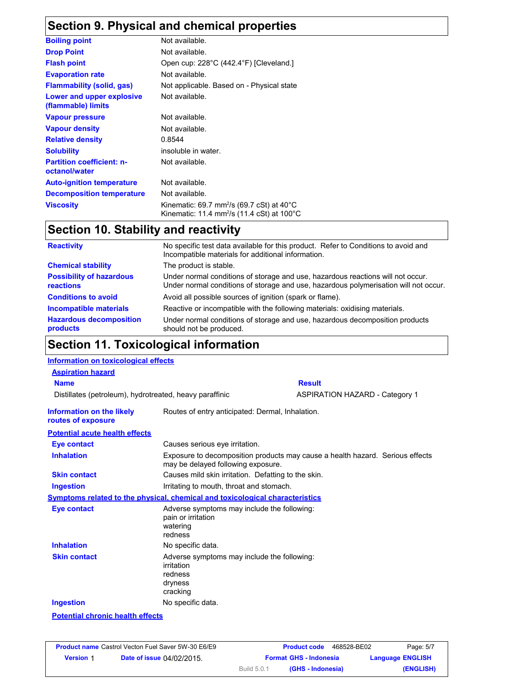## **Section 9. Physical and chemical properties**

| <b>Boiling point</b>                              | Not available.                                                                                                                        |
|---------------------------------------------------|---------------------------------------------------------------------------------------------------------------------------------------|
| <b>Drop Point</b>                                 | Not available.                                                                                                                        |
| <b>Flash point</b>                                | Open cup: 228°C (442.4°F) [Cleveland.]                                                                                                |
| <b>Evaporation rate</b>                           | Not available.                                                                                                                        |
| <b>Flammability (solid, gas)</b>                  | Not applicable. Based on - Physical state                                                                                             |
| Lower and upper explosive<br>(flammable) limits   | Not available.                                                                                                                        |
| <b>Vapour pressure</b>                            | Not available.                                                                                                                        |
| <b>Vapour density</b>                             | Not available.                                                                                                                        |
| <b>Relative density</b>                           | 0.8544                                                                                                                                |
| <b>Solubility</b>                                 | insoluble in water.                                                                                                                   |
| <b>Partition coefficient: n-</b><br>octanol/water | Not available.                                                                                                                        |
| <b>Auto-ignition temperature</b>                  | Not available.                                                                                                                        |
| <b>Decomposition temperature</b>                  | Not available.                                                                                                                        |
| <b>Viscosity</b>                                  | Kinematic: 69.7 mm <sup>2</sup> /s (69.7 cSt) at 40 $^{\circ}$ C<br>Kinematic: 11.4 mm <sup>2</sup> /s (11.4 cSt) at 100 $^{\circ}$ C |

## **Section 10. Stability and reactivity**

| <b>Reactivity</b>                            | No specific test data available for this product. Refer to Conditions to avoid and<br>Incompatible materials for additional information.                                |
|----------------------------------------------|-------------------------------------------------------------------------------------------------------------------------------------------------------------------------|
| <b>Chemical stability</b>                    | The product is stable.                                                                                                                                                  |
| <b>Possibility of hazardous</b><br>reactions | Under normal conditions of storage and use, hazardous reactions will not occur.<br>Under normal conditions of storage and use, hazardous polymerisation will not occur. |
| <b>Conditions to avoid</b>                   | Avoid all possible sources of ignition (spark or flame).                                                                                                                |
| <b>Incompatible materials</b>                | Reactive or incompatible with the following materials: oxidising materials.                                                                                             |
| <b>Hazardous decomposition</b><br>products   | Under normal conditions of storage and use, hazardous decomposition products<br>should not be produced.                                                                 |

### **Section 11. Toxicological information**

#### **Information on toxicological effects**

| <b>Aspiration hazard</b>                                |                                                                                             |                                                                               |
|---------------------------------------------------------|---------------------------------------------------------------------------------------------|-------------------------------------------------------------------------------|
| <b>Name</b>                                             |                                                                                             | <b>Result</b>                                                                 |
| Distillates (petroleum), hydrotreated, heavy paraffinic |                                                                                             | <b>ASPIRATION HAZARD - Category 1</b>                                         |
| Information on the likely<br>routes of exposure         | Routes of entry anticipated: Dermal, Inhalation.                                            |                                                                               |
| <b>Potential acute health effects</b>                   |                                                                                             |                                                                               |
| <b>Eye contact</b>                                      | Causes serious eye irritation.                                                              |                                                                               |
| <b>Inhalation</b>                                       | may be delayed following exposure.                                                          | Exposure to decomposition products may cause a health hazard. Serious effects |
| <b>Skin contact</b>                                     | Causes mild skin irritation. Defatting to the skin.                                         |                                                                               |
| <b>Ingestion</b>                                        | Irritating to mouth, throat and stomach.                                                    |                                                                               |
|                                                         | Symptoms related to the physical, chemical and toxicological characteristics                |                                                                               |
| <b>Eye contact</b>                                      | Adverse symptoms may include the following:<br>pain or irritation<br>watering<br>redness    |                                                                               |
| <b>Inhalation</b>                                       | No specific data.                                                                           |                                                                               |
| <b>Skin contact</b>                                     | Adverse symptoms may include the following:<br>irritation<br>redness<br>dryness<br>cracking |                                                                               |
| <b>Ingestion</b>                                        | No specific data.                                                                           |                                                                               |
| <b>Potential chronic health effects</b>                 |                                                                                             |                                                                               |

|                  | <b>Product name</b> Castrol Vecton Fuel Saver 5W-30 E6/E9 |                    | 468528-BE02<br><b>Product code</b> | Page: 5/7               |
|------------------|-----------------------------------------------------------|--------------------|------------------------------------|-------------------------|
| <b>Version 1</b> | <b>Date of issue 04/02/2015.</b>                          |                    | <b>Format GHS - Indonesia</b>      | <b>Language ENGLISH</b> |
|                  |                                                           | <b>Build 5.0.1</b> | (GHS - Indonesia)                  | (ENGLISH)               |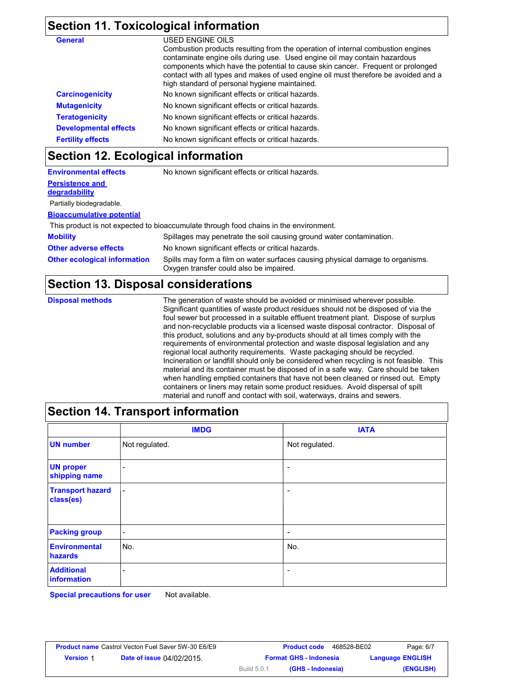#### **Section 11. Toxicological information**

| <b>General</b>               | USED ENGINE OILS                                                                                                                                                                                                                                                                                                                                                                        |
|------------------------------|-----------------------------------------------------------------------------------------------------------------------------------------------------------------------------------------------------------------------------------------------------------------------------------------------------------------------------------------------------------------------------------------|
|                              | Combustion products resulting from the operation of internal combustion engines<br>contaminate engine oils during use. Used engine oil may contain hazardous<br>components which have the potential to cause skin cancer. Frequent or prolonged<br>contact with all types and makes of used engine oil must therefore be avoided and a<br>high standard of personal hygiene maintained. |
| <b>Carcinogenicity</b>       | No known significant effects or critical hazards.                                                                                                                                                                                                                                                                                                                                       |
| <b>Mutagenicity</b>          | No known significant effects or critical hazards.                                                                                                                                                                                                                                                                                                                                       |
| <b>Teratogenicity</b>        | No known significant effects or critical hazards.                                                                                                                                                                                                                                                                                                                                       |
| <b>Developmental effects</b> | No known significant effects or critical hazards.                                                                                                                                                                                                                                                                                                                                       |
| <b>Fertility effects</b>     | No known significant effects or critical hazards.                                                                                                                                                                                                                                                                                                                                       |

### **Section 12. Ecological information**

| <b>Environmental effects</b>        | No known significant effects or critical hazards.                                                                         |
|-------------------------------------|---------------------------------------------------------------------------------------------------------------------------|
| <b>Persistence and</b>              |                                                                                                                           |
| degradability                       |                                                                                                                           |
| Partially biodegradable.            |                                                                                                                           |
| <b>Bioaccumulative potential</b>    |                                                                                                                           |
|                                     | This product is not expected to bioaccumulate through food chains in the environment.                                     |
| <b>Mobility</b>                     | Spillages may penetrate the soil causing ground water contamination.                                                      |
| <b>Other adverse effects</b>        | No known significant effects or critical hazards.                                                                         |
| <b>Other ecological information</b> | Spills may form a film on water surfaces causing physical damage to organisms.<br>Oxygen transfer could also be impaired. |

#### **Section 13. Disposal considerations**

**Disposal methods**

The generation of waste should be avoided or minimised wherever possible. Significant quantities of waste product residues should not be disposed of via the foul sewer but processed in a suitable effluent treatment plant. Dispose of surplus and non-recyclable products via a licensed waste disposal contractor. Disposal of this product, solutions and any by-products should at all times comply with the requirements of environmental protection and waste disposal legislation and any regional local authority requirements. Waste packaging should be recycled. Incineration or landfill should only be considered when recycling is not feasible. This material and its container must be disposed of in a safe way. Care should be taken when handling emptied containers that have not been cleaned or rinsed out. Empty containers or liners may retain some product residues. Avoid dispersal of spilt material and runoff and contact with soil, waterways, drains and sewers.

### **Section 14. Transport information**

|                                      | <b>IMDG</b>              | <b>IATA</b>              |
|--------------------------------------|--------------------------|--------------------------|
| <b>UN number</b>                     | Not regulated.           | Not regulated.           |
| <b>UN proper</b><br>shipping name    | -                        | $\overline{\phantom{a}}$ |
| <b>Transport hazard</b><br>class(es) | $\overline{\phantom{a}}$ | $\overline{\phantom{a}}$ |
| <b>Packing group</b>                 | $\overline{\phantom{a}}$ | $\overline{\phantom{a}}$ |
| <b>Environmental</b><br>hazards      | No.                      | No.                      |
| <b>Additional</b><br>information     | ۰                        | $\overline{\phantom{a}}$ |

**Special precautions for user** Not available.

|                  | <b>Product name Castrol Vecton Fuel Saver 5W-30 E6/E9</b> |                    | 468528-BE02<br><b>Product code</b> | Page: 6/7               |
|------------------|-----------------------------------------------------------|--------------------|------------------------------------|-------------------------|
| <b>Version 1</b> | <b>Date of issue 04/02/2015.</b>                          |                    | <b>Format GHS - Indonesia</b>      | <b>Language ENGLISH</b> |
|                  |                                                           | <b>Build 5.0.1</b> | (GHS - Indonesia)                  | (ENGLISH)               |